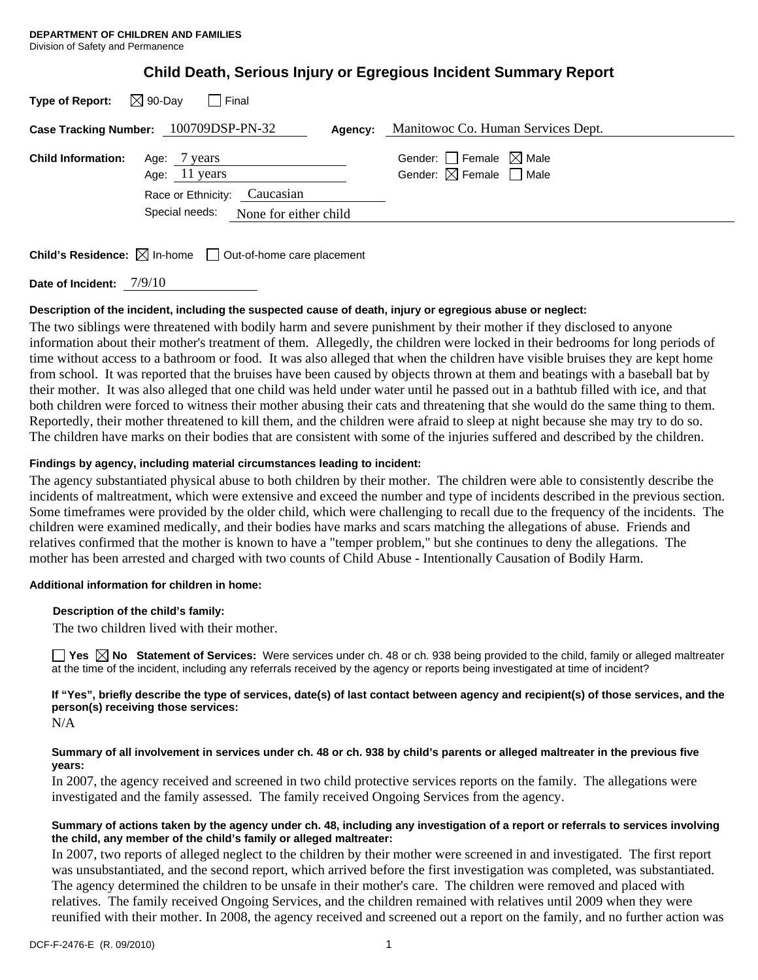| <b>Child Death, Serious Injury or Egregious Incident Summary Report</b> |  |
|-------------------------------------------------------------------------|--|
|-------------------------------------------------------------------------|--|

| <b>Type of Report:</b>    | $\boxtimes$ 90-Day<br>Final                                             |                                                                                  |
|---------------------------|-------------------------------------------------------------------------|----------------------------------------------------------------------------------|
|                           | Case Tracking Number: 100709DSP-PN-32<br>Agency:                        | Manitowoc Co. Human Services Dept.                                               |
| <b>Child Information:</b> | Age: / years<br>Age: $11$ years                                         | Gender: $\Box$ Female $\boxtimes$ Male<br>Gender: $\boxtimes$ Female $\Box$ Male |
|                           | Race or Ethnicity: Caucasian<br>Special needs:<br>None for either child |                                                                                  |

**Child's Residence:**  $\boxtimes$  In-home  $\Box$  Out-of-home care placement

**Date of Incident:** 7/9/10

# **Description of the incident, including the suspected cause of death, injury or egregious abuse or neglect:**

The two siblings were threatened with bodily harm and severe punishment by their mother if they disclosed to anyone information about their mother's treatment of them. Allegedly, the children were locked in their bedrooms for long periods of time without access to a bathroom or food. It was also alleged that when the children have visible bruises they are kept home from school. It was reported that the bruises have been caused by objects thrown at them and beatings with a baseball bat by their mother. It was also alleged that one child was held under water until he passed out in a bathtub filled with ice, and that both children were forced to witness their mother abusing their cats and threatening that she would do the same thing to them. Reportedly, their mother threatened to kill them, and the children were afraid to sleep at night because she may try to do so. The children have marks on their bodies that are consistent with some of the injuries suffered and described by the children.

## **Findings by agency, including material circumstances leading to incident:**

The agency substantiated physical abuse to both children by their mother. The children were able to consistently describe the incidents of maltreatment, which were extensive and exceed the number and type of incidents described in the previous section. Some timeframes were provided by the older child, which were challenging to recall due to the frequency of the incidents. The children were examined medically, and their bodies have marks and scars matching the allegations of abuse. Friends and relatives confirmed that the mother is known to have a "temper problem," but she continues to deny the allegations. The mother has been arrested and charged with two counts of Child Abuse - Intentionally Causation of Bodily Harm.

### **Additional information for children in home:**

### **Description of the child's family:**

The two children lived with their mother.

**Yes**  $\boxtimes$  **No** Statement of Services: Were services under ch. 48 or ch. 938 being provided to the child, family or alleged maltreater at the time of the incident, including any referrals received by the agency or reports being investigated at time of incident?

**If "Yes", briefly describe the type of services, date(s) of last contact between agency and recipient(s) of those services, and the person(s) receiving those services:** 

N/A

#### **Summary of all involvement in services under ch. 48 or ch. 938 by child's parents or alleged maltreater in the previous five years:**

In 2007, the agency received and screened in two child protective services reports on the family. The allegations were investigated and the family assessed. The family received Ongoing Services from the agency.

### **Summary of actions taken by the agency under ch. 48, including any investigation of a report or referrals to services involving the child, any member of the child's family or alleged maltreater:**

In 2007, two reports of alleged neglect to the children by their mother were screened in and investigated. The first report was unsubstantiated, and the second report, which arrived before the first investigation was completed, was substantiated. The agency determined the children to be unsafe in their mother's care. The children were removed and placed with relatives. The family received Ongoing Services, and the children remained with relatives until 2009 when they were reunified with their mother. In 2008, the agency received and screened out a report on the family, and no further action was